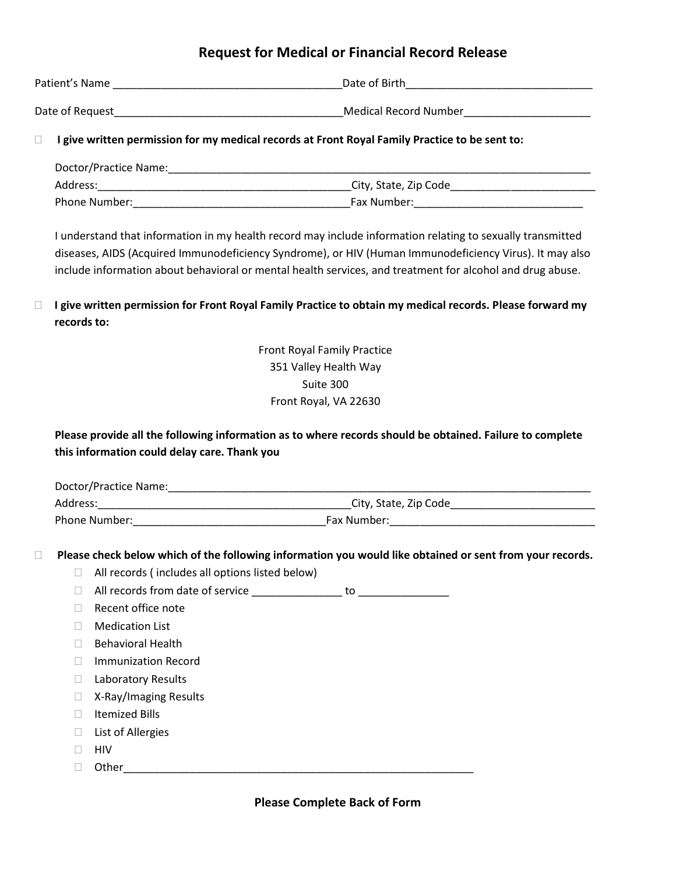## **Request for Medical or Financial Record Release**

| Patient's Name  | Date of Birth         |
|-----------------|-----------------------|
| Date of Request | Medical Record Number |

## **I give written permission for my medical records at Front Royal Family Practice to be sent to:**

| Doctor/Practice Name: |                       |
|-----------------------|-----------------------|
| Address:              | City, State, Zip Code |
| Phone Number:         | Fax Number:           |

I understand that information in my health record may include information relating to sexually transmitted diseases, AIDS (Acquired Immunodeficiency Syndrome), or HIV (Human Immunodeficiency Virus). It may also include information about behavioral or mental health services, and treatment for alcohol and drug abuse.

## **I give written permission for Front Royal Family Practice to obtain my medical records. Please forward my records to:**

Front Royal Family Practice 351 Valley Health Way Suite 300 Front Royal, VA 22630

**Please provide all the following information as to where records should be obtained. Failure to complete this information could delay care. Thank you**

| Doctor/Practice Name: |                       |
|-----------------------|-----------------------|
| Address:              | City, State, Zip Code |
| Phone Number:         | Fax Number:           |

## **Please check below which of the following information you would like obtained or sent from your records.**

- $\Box$  All records (includes all options listed below)
- $\Box$  All records from date of service  $\Box$  to  $\Box$
- $\Box$  Recent office note
- Medication List
- □ Behavioral Health
- Immunization Record
- □ Laboratory Results
- □ X-Ray/Imaging Results
- □ Itemized Bills
- $\Box$  List of Allergies
- $\Box$  HIV
- $\Box$  Other  $\Box$